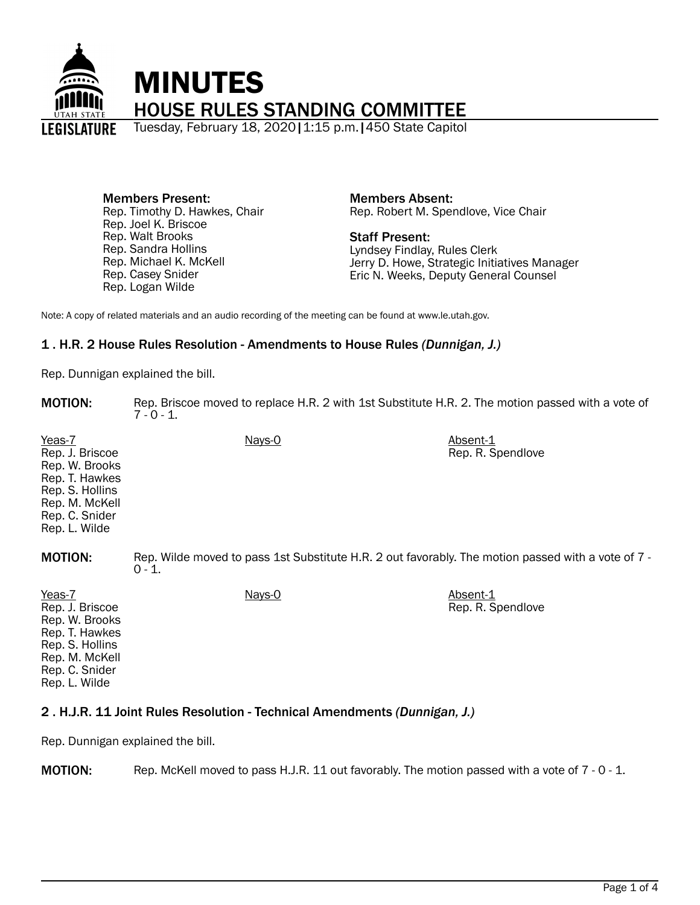

Members Present: Rep. Timothy D. Hawkes, Chair Rep. Joel K. Briscoe Rep. Walt Brooks Rep. Sandra Hollins Rep. Michael K. McKell Rep. Casey Snider Rep. Logan Wilde

Members Absent: Rep. Robert M. Spendlove, Vice Chair

Staff Present: Lyndsey Findlay, Rules Clerk Jerry D. Howe, Strategic Initiatives Manager Eric N. Weeks, Deputy General Counsel

Note: A copy of related materials and an audio recording of the meeting can be found at www.le.utah.gov.

### 1 . H.R. 2 House Rules Resolution - Amendments to House Rules *(Dunnigan, J.)*

Rep. Dunnigan explained the bill.

MOTION: Rep. Briscoe moved to replace H.R. 2 with 1st Substitute H.R. 2. The motion passed with a vote of  $7 - 0 - 1$ .

Yeas-7 Nays-0 Nays-0 Absent-1 Rep. J. Briscoe Rep. W. Brooks Rep. T. Hawkes Rep. S. Hollins Rep. M. McKell Rep. C. Snider Rep. L. Wilde Rep. R. Spendlove **MOTION:** Rep. Wilde moved to pass 1st Substitute H.R. 2 out favorably. The motion passed with a vote of 7 - $0 - 1$ . Yeas-7 Nays-0 **Nays-0** Nays-0 Absent-1 Rep. R. Spendlove

Rep. J. Briscoe Rep. W. Brooks Rep. T. Hawkes Rep. S. Hollins Rep. M. McKell Rep. C. Snider Rep. L. Wilde

## 2 . H.J.R. 11 Joint Rules Resolution - Technical Amendments *(Dunnigan, J.)*

Rep. Dunnigan explained the bill.

MOTION: Rep. McKell moved to pass H.J.R. 11 out favorably. The motion passed with a vote of 7 - 0 - 1.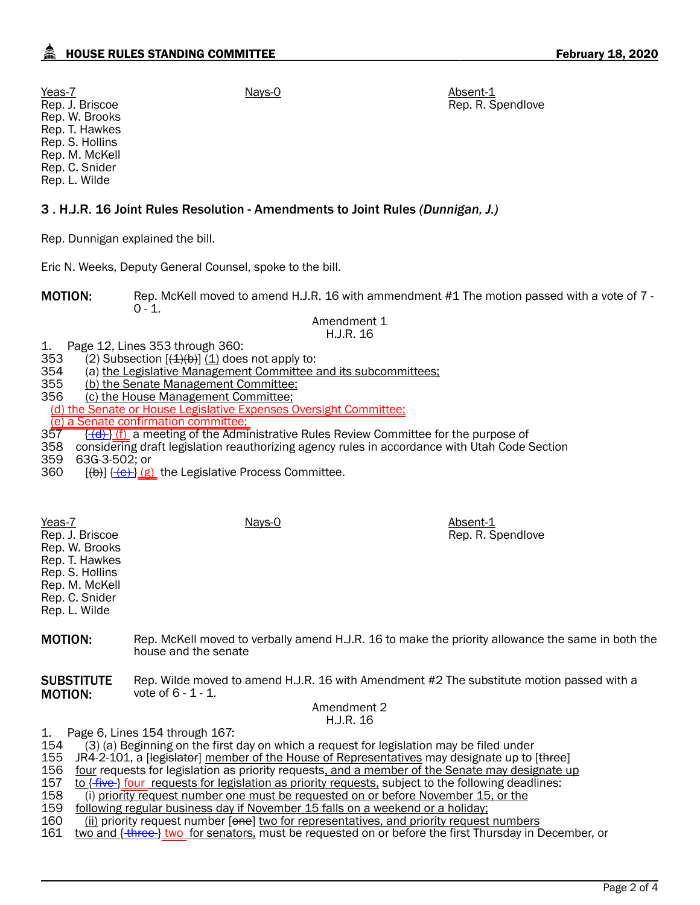# HOUSE RULES STANDING COMMITTEE **FIRM AND THE STANDING COMMITTEE FEBRUARY 18, 2020**

Rep. R. Spendlove

Yeas-7 Nays-0 **Nays-0** Nays-0 Absent-1 Rep. J. Briscoe Rep. W. Brooks Rep. T. Hawkes Rep. S. Hollins Rep. M. McKell Rep. C. Snider Rep. L. Wilde

## 3 . H.J.R. 16 Joint Rules Resolution - Amendments to Joint Rules *(Dunnigan, J.)*

Rep. Dunnigan explained the bill.

Eric N. Weeks, Deputy General Counsel, spoke to the bill.

MOTION: Rep. McKell moved to amend H.J.R. 16 with ammendment #1 The motion passed with a vote of 7 - $0 - 1$ .

Amendment 1 H.J.R. 16

1. Page 12, Lines 353 through 360:<br>353 (2) Subsection  $[(4)(b)]$  (1) does

353 (2) Subsection  $[(4)(b)]$  (1) does not apply to:<br>354 (a) the Legislative Management Committee a 354 (a) the Legislative Management Committee and its subcommittees;<br>355 (b) the Senate Management Committee:

355 (b) the Senate Management Committee;<br>356 (c) the House Management Committee;

(c) the House Management Committee;

(d) the Senate or House Legislative Expenses Oversight Committee;

 $\frac{\text{(e)}}{\text{(e)}}$  a Senate confirmation committee;<br>357  $\frac{\text{(d)}}{\text{(f)}}$  a meeting of the Adm

 $\{\overline{(d)}\}\$ (f) a meeting of the Administrative Rules Review Committee for the purpose of

358 considering draft legislation reauthorizing agency rules in accordance with Utah Code Section<br>359 63G-3-502: or

359 63G-3-502; or

360  $[(b)]$   $[ (e) ]$   $(g)$  the Legislative Process Committee.

Yeas-7 Nays-0 **Nays-0** Nays-0 Absent-1 Rep. J. Briscoe Rep. W. Brooks Rep. T. Hawkes Rep. S. Hollins Rep. M. McKell Rep. C. Snider Rep. L. Wilde Rep. R. Spendlove **MOTION:** Rep. McKell moved to verbally amend H.J.R. 16 to make the priority allowance the same in both the

house and the senate

**SUBSTITUTE** MOTION: Rep. Wilde moved to amend H.J.R. 16 with Amendment #2 The substitute motion passed with a vote of 6 - 1 - 1.

### Amendment 2 H.J.R. 16

1. Page 6, Lines 154 through 167:

(3) (a) Beginning on the first day on which a request for legislation may be filed under

155 JR4-2-101, a [legislator] member of the House of Representatives may designate up to [three]<br>156 four requests for legislation as priority requests, and a member of the Senate may designate up

156 four requests for legislation as priority requests, and a member of the Senate may designate up<br>157 to {five} four requests for legislation as priority requests, subject to the following deadlines:

157 to {five} four requests for legislation as priority requests, subject to the following deadlines:<br>158 (i) priority request number one must be requested on or before November 15, or the

(i) priority request number one must be requested on or before November 15, or the

159 following regular business day if November 15 falls on a weekend or a holiday;<br>160 fill priority request number lonel two for representatives, and priority request

160 (ii) priority request number [<del>one</del>] two for representatives, and priority request numbers 161<br>161 two and { three } two for senators, must be requested on or before the first Thursday in [

two and { three } two for senators, must be requested on or before the first Thursday in December, or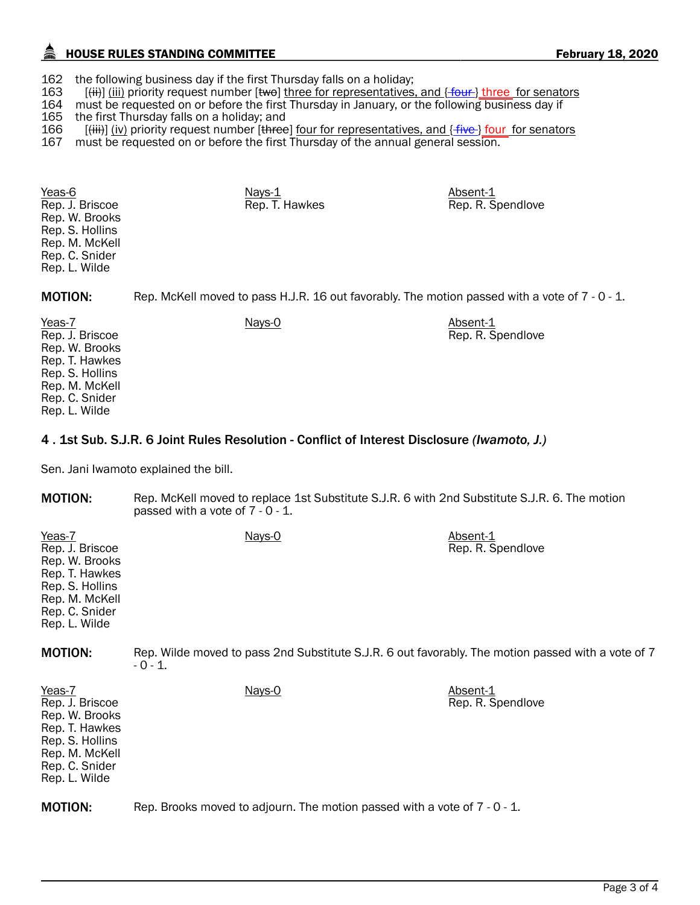## HOUSE RULES STANDING COMMITTEE **FEBRUARY 18, 2020** February 18, 2020

162 the following business day if the first Thursday falls on a holiday;<br>163  $[(iii)]$  (iii) priority request number  $[{\text{two}}]$  three for representatives

163 [(iii)] (iii) priority request number [two] three for representatives, and { four } three for senators 164 must be requested on or before the first Thursday in January, or the following business day if

164 must be requested on or before the first Thursday in January, or the following business day if 165 the first Thursday falls on a holiday; and

165 the first Thursday falls on a holiday; and  $166$  [<del>(iii)</del>] (iv) priority request number [three

 $[$ (iii)] (iv) priority request number [three] four for representatives, and  ${$  five  $}$ ] four for senators

167 must be requested on or before the first Thursday of the annual general session.

Yeas-6 Nays-1 Absent-1 Absent-1 Absent-1 Absent-1 Rep. J. Briscoe Rep. W. Brooks Rep. S. Hollins Rep. M. McKell Rep. C. Snider Rep. L. Wilde Rep. T. Hawkes Rep. R. Spendlove

MOTION: Rep. McKell moved to pass H.J.R. 16 out favorably. The motion passed with a vote of 7 - 0 - 1.

Rep. R. Spendlove

Yeas-7 Nays-0 Nays-0 Absent-1 Rep. J. Briscoe Rep. W. Brooks Rep. T. Hawkes Rep. S. Hollins Rep. M. McKell Rep. C. Snider Rep. L. Wilde

### 4 . 1st Sub. S.J.R. 6 Joint Rules Resolution - Conflict of Interest Disclosure *(Iwamoto, J.)*

Sen. Jani Iwamoto explained the bill.

| <b>MOTION:</b>                                                                                                                        | Rep. McKell moved to replace 1st Substitute S.J.R. 6 with 2nd Substitute S.J.R. 6. The motion<br>passed with a vote of 7 - 0 - 1. |                               |
|---------------------------------------------------------------------------------------------------------------------------------------|-----------------------------------------------------------------------------------------------------------------------------------|-------------------------------|
| Yeas-7<br>Rep. J. Briscoe<br>Rep. W. Brooks<br>Rep. T. Hawkes<br>Rep. S. Hollins<br>Rep. M. McKell<br>Rep. C. Snider<br>Rep. L. Wilde | Nays-0                                                                                                                            | Absent-1<br>Rep. R. Spendlove |
| <b>MOTION:</b>                                                                                                                        | Rep. Wilde moved to pass 2nd Substitute S.J.R. 6 out favorably. The motion passed with a vote of 7<br>- 0 - 1.                    |                               |
| Yeas-7<br>Rep. J. Briscoe<br>Rep. W. Brooks<br>Rep. T. Hawkes<br>Rep. S. Hollins<br>Rep. M. McKell<br>Rep. C. Snider<br>Rep. L. Wilde | Nays-0                                                                                                                            | Absent-1<br>Rep. R. Spendlove |
| <b>MOTION:</b>                                                                                                                        | Rep. Brooks moved to adjourn. The motion passed with a vote of 7 - 0 - 1.                                                         |                               |